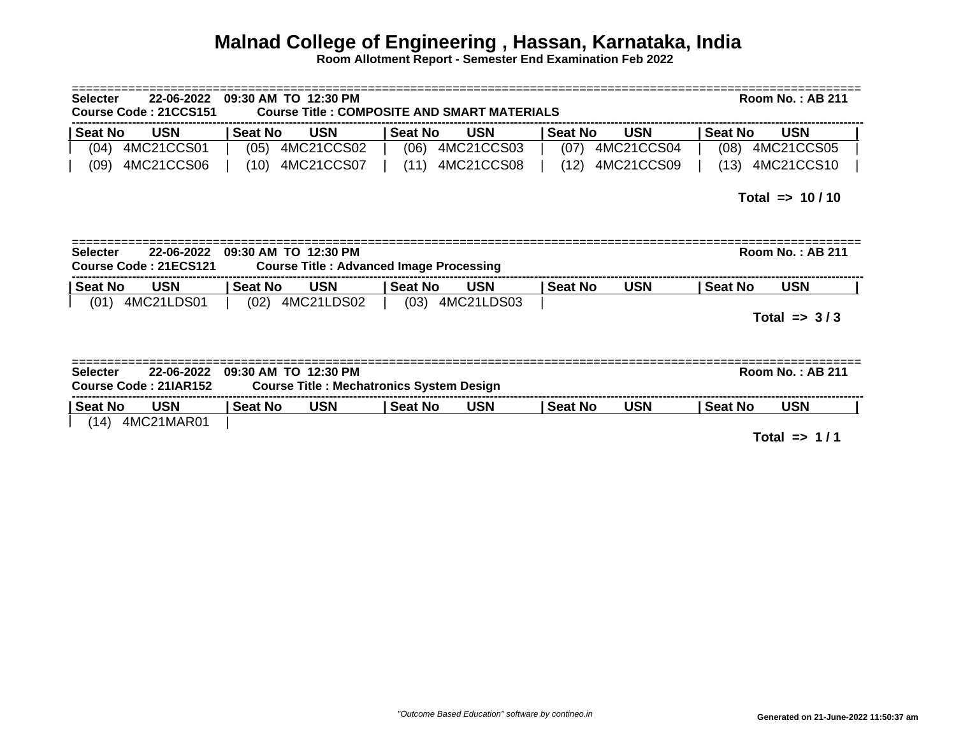## **Malnad College of Engineering , Hassan, Karnataka, India**

**Room Allotment Report - Semester End Examination Feb 2022**

| 22-06-2022<br>09:30 AM TO 12:30 PM<br><b>Selecter</b><br><b>Course Title: COMPOSITE AND SMART MATERIALS</b><br>Course Code: 21CCS151 |                                     |                                                                        |                                                 |                |            |                |                         | <b>Room No.: AB 211</b> |                         |  |  |
|--------------------------------------------------------------------------------------------------------------------------------------|-------------------------------------|------------------------------------------------------------------------|-------------------------------------------------|----------------|------------|----------------|-------------------------|-------------------------|-------------------------|--|--|
| <b>Seat No</b>                                                                                                                       | <b>USN</b>                          | <b>Seat No</b>                                                         | <b>USN</b>                                      | <b>Seat No</b> | <b>USN</b> | <b>Seat No</b> | <b>USN</b>              | <b>Seat No</b>          | <b>USN</b>              |  |  |
| (04)                                                                                                                                 | 4MC21CCS01                          | (05)                                                                   | 4MC21CCS02                                      | (06)           | 4MC21CCS03 | (07)           | 4MC21CCS04              | (08)                    | 4MC21CCS05              |  |  |
| (09)                                                                                                                                 | 4MC21CCS06                          | (10)                                                                   | 4MC21CCS07                                      | (11)           | 4MC21CCS08 | (12)           | 4MC21CCS09              | (13)                    | 4MC21CCS10              |  |  |
|                                                                                                                                      |                                     |                                                                        |                                                 |                |            |                |                         | Total => $10/10$        |                         |  |  |
| <b>Selecter</b>                                                                                                                      | 22-06-2022<br>Course Code: 21ECS121 | 09:30 AM TO 12:30 PM<br><b>Course Title: Advanced Image Processing</b> |                                                 |                |            |                | <b>Room No.: AB 211</b> |                         |                         |  |  |
| <b>Seat No</b>                                                                                                                       | <b>USN</b>                          | <b>Seat No</b>                                                         | <b>USN</b>                                      | <b>Seat No</b> | <b>USN</b> | <b>Seat No</b> | <b>USN</b>              | <b>Seat No</b>          | <b>USN</b>              |  |  |
| (01)                                                                                                                                 | 4MC21LDS01                          |                                                                        | (02) 4MC21LDS02                                 | (03)           | 4MC21LDS03 |                |                         | Total $\approx$ 3/3     |                         |  |  |
| <b>Selecter</b>                                                                                                                      | 22-06-2022<br>Course Code: 21IAR152 | 09:30 AM TO 12:30 PM                                                   | <b>Course Title: Mechatronics System Design</b> |                |            |                |                         |                         | <b>Room No.: AB 211</b> |  |  |
| <b>Seat No</b>                                                                                                                       | <b>USN</b>                          | <b>Seat No</b>                                                         | <b>USN</b>                                      | <b>Seat No</b> | <b>USN</b> | <b>Seat No</b> | <b>USN</b>              | Seat No                 | <b>USN</b>              |  |  |
| (14)                                                                                                                                 | 4MC21MAR01                          |                                                                        |                                                 |                |            |                |                         |                         | Total $\Rightarrow$ 1/1 |  |  |